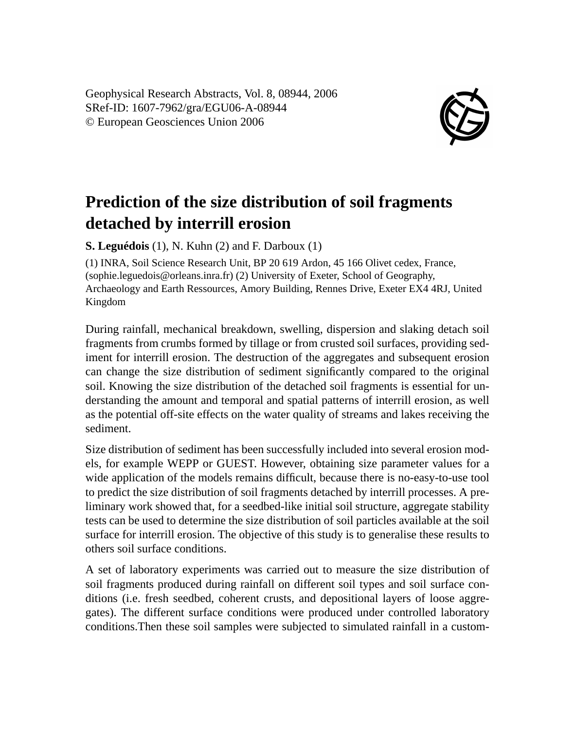Geophysical Research Abstracts, Vol. 8, 08944, 2006 SRef-ID: 1607-7962/gra/EGU06-A-08944 © European Geosciences Union 2006



## **Prediction of the size distribution of soil fragments detached by interrill erosion**

**S. Leguédois** (1), N. Kuhn (2) and F. Darboux (1)

(1) INRA, Soil Science Research Unit, BP 20 619 Ardon, 45 166 Olivet cedex, France, (sophie.leguedois@orleans.inra.fr) (2) University of Exeter, School of Geography, Archaeology and Earth Ressources, Amory Building, Rennes Drive, Exeter EX4 4RJ, United Kingdom

During rainfall, mechanical breakdown, swelling, dispersion and slaking detach soil fragments from crumbs formed by tillage or from crusted soil surfaces, providing sediment for interrill erosion. The destruction of the aggregates and subsequent erosion can change the size distribution of sediment significantly compared to the original soil. Knowing the size distribution of the detached soil fragments is essential for understanding the amount and temporal and spatial patterns of interrill erosion, as well as the potential off-site effects on the water quality of streams and lakes receiving the sediment.

Size distribution of sediment has been successfully included into several erosion models, for example WEPP or GUEST. However, obtaining size parameter values for a wide application of the models remains difficult, because there is no-easy-to-use tool to predict the size distribution of soil fragments detached by interrill processes. A preliminary work showed that, for a seedbed-like initial soil structure, aggregate stability tests can be used to determine the size distribution of soil particles available at the soil surface for interrill erosion. The objective of this study is to generalise these results to others soil surface conditions.

A set of laboratory experiments was carried out to measure the size distribution of soil fragments produced during rainfall on different soil types and soil surface conditions (i.e. fresh seedbed, coherent crusts, and depositional layers of loose aggregates). The different surface conditions were produced under controlled laboratory conditions.Then these soil samples were subjected to simulated rainfall in a custom